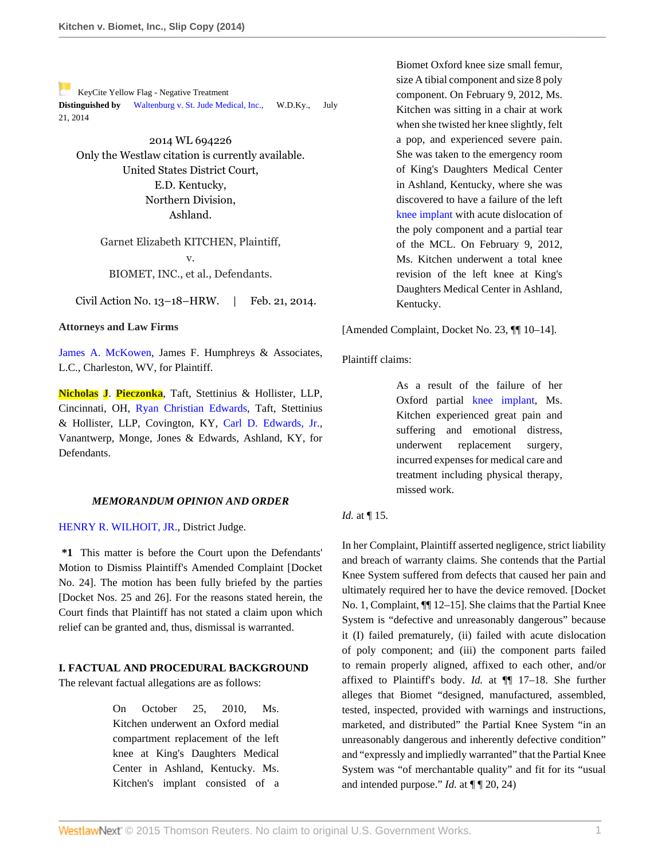[K](https://a.next.westlaw.com/Link/RelatedInformation/Flag?documentGuid=I87f55cdf9de611e39ac8bab74931929c&transitionType=Document&originationContext=docHeaderFlag&contextData=(sc.Search))eyCite Yellow Flag - Negative Treatment **Distinguished by** [Waltenburg v. St. Jude Medical, Inc.](https://a.next.westlaw.com/Document/I471665ac11ff11e490d4edf60ce7d742/View/FullText.html?navigationPath=RelatedInfo%2Fv4%2Fkeycite%2Fnav%2F%3Fguid%3DI471665ac11ff11e490d4edf60ce7d742%26ss%3D2032774292%26ds%3D2033887374&listSource=RelatedInfo&list=NegativeCitingReferences&rank=0&originationContext=docHeader&transitionType=NegativeTreatment&contextData=%28sc.Search%29), W.D.Ky., July 21, 2014

2014 WL 694226 Only the Westlaw citation is currently available. United States District Court, E.D. Kentucky, Northern Division, Ashland.

> Garnet Elizabeth KITCHEN, Plaintiff, v. BIOMET, INC., et al., Defendants.

Civil Action No. 13–18–HRW. | Feb. 21, 2014.

### **Attorneys and Law Firms**

[James A. McKowen](http://www.westlaw.com/Link/Document/FullText?findType=h&pubNum=176284&cite=0177436201&originatingDoc=I87f55cdf9de611e39ac8bab74931929c&refType=RQ&originationContext=document&vr=3.0&rs=cblt1.0&transitionType=DocumentItem&contextData=(sc.Search)), James F. Humphreys & Associates, L.C., Charleston, WV, for Plaintiff.

**Nicholas J**. **[Pieczonka](http://www.westlaw.com/Link/Document/FullText?findType=h&pubNum=176284&cite=0462963301&originatingDoc=I87f55cdf9de611e39ac8bab74931929c&refType=RQ&originationContext=document&vr=3.0&rs=cblt1.0&transitionType=DocumentItem&contextData=(sc.Search))**, Taft, Stettinius & Hollister, LLP, Cincinnati, OH, [Ryan Christian Edwards,](http://www.westlaw.com/Link/Document/FullText?findType=h&pubNum=176284&cite=0330378801&originatingDoc=I87f55cdf9de611e39ac8bab74931929c&refType=RQ&originationContext=document&vr=3.0&rs=cblt1.0&transitionType=DocumentItem&contextData=(sc.Search)) Taft, Stettinius & Hollister, LLP, Covington, KY, [Carl D. Edwards, Jr.](http://www.westlaw.com/Link/Document/FullText?findType=h&pubNum=176284&cite=0144351201&originatingDoc=I87f55cdf9de611e39ac8bab74931929c&refType=RQ&originationContext=document&vr=3.0&rs=cblt1.0&transitionType=DocumentItem&contextData=(sc.Search)), Vanantwerp, Monge, Jones & Edwards, Ashland, KY, for Defendants.

#### *MEMORANDUM OPINION AND ORDER*

[HENRY R. WILHOIT, JR.](http://www.westlaw.com/Link/Document/FullText?findType=h&pubNum=176284&cite=0246423301&originatingDoc=I87f55cdf9de611e39ac8bab74931929c&refType=RQ&originationContext=document&vr=3.0&rs=cblt1.0&transitionType=DocumentItem&contextData=(sc.Search)), District Judge.

**\*1** This matter is before the Court upon the Defendants' Motion to Dismiss Plaintiff's Amended Complaint [Docket No. 24]. The motion has been fully briefed by the parties [Docket Nos. 25 and 26]. For the reasons stated herein, the Court finds that Plaintiff has not stated a claim upon which relief can be granted and, thus, dismissal is warranted.

### **I. FACTUAL AND PROCEDURAL BACKGROUND**

The relevant factual allegations are as follows:

On October 25, 2010, Ms. Kitchen underwent an Oxford medial compartment replacement of the left knee at King's Daughters Medical Center in Ashland, Kentucky. Ms. Kitchen's implant consisted of a

Biomet Oxford knee size small femur, size A tibial component and size 8 poly component. On February 9, 2012, Ms. Kitchen was sitting in a chair at work when she twisted her knee slightly, felt a pop, and experienced severe pain. She was taken to the emergency room of King's Daughters Medical Center in Ashland, Kentucky, where she was discovered to have a failure of the left [knee implant](http://www.westlaw.com/Link/Document/FullText?entityType=mdev&entityId=I9f346e84475411db9765f9243f53508a&originationContext=document&transitionType=DocumentItem&contextData=(sc.Default)&vr=3.0&rs=cblt1.0) with acute dislocation of the poly component and a partial tear of the MCL. On February 9, 2012, Ms. Kitchen underwent a total knee revision of the left knee at King's Daughters Medical Center in Ashland, Kentucky.

[Amended Complaint, Docket No. 23, ¶¶ 10–14].

### Plaintiff claims:

As a result of the failure of her Oxford partial [knee implant](http://www.westlaw.com/Link/Document/FullText?entityType=mdev&entityId=I9f346e84475411db9765f9243f53508a&originationContext=document&transitionType=DocumentItem&contextData=(sc.Default)&vr=3.0&rs=cblt1.0), Ms. Kitchen experienced great pain and suffering and emotional distress, underwent replacement surgery, incurred expenses for medical care and treatment including physical therapy, missed work.

### *Id.* at ¶ 15.

In her Complaint, Plaintiff asserted negligence, strict liability and breach of warranty claims. She contends that the Partial Knee System suffered from defects that caused her pain and ultimately required her to have the device removed. [Docket No. 1, Complaint, ¶¶ 12–15]. She claims that the Partial Knee System is "defective and unreasonably dangerous" because it (I) failed prematurely, (ii) failed with acute dislocation of poly component; and (iii) the component parts failed to remain properly aligned, affixed to each other, and/or affixed to Plaintiff's body. *Id.* at ¶¶ 17–18. She further alleges that Biomet "designed, manufactured, assembled, tested, inspected, provided with warnings and instructions, marketed, and distributed" the Partial Knee System "in an unreasonably dangerous and inherently defective condition" and "expressly and impliedly warranted" that the Partial Knee System was "of merchantable quality" and fit for its "usual and intended purpose." *Id.* at  $\P$   $\P$  20, 24)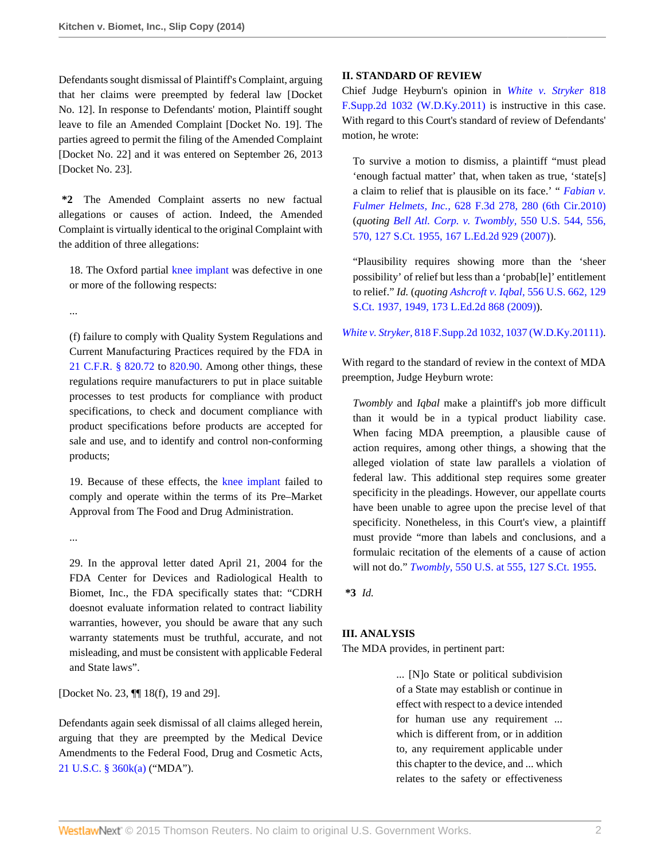Defendants sought dismissal of Plaintiff's Complaint, arguing that her claims were preempted by federal law [Docket No. 12]. In response to Defendants' motion, Plaintiff sought leave to file an Amended Complaint [Docket No. 19]. The parties agreed to permit the filing of the Amended Complaint [Docket No. 22] and it was entered on September 26, 2013 [Docket No. 23].

**\*2** The Amended Complaint asserts no new factual allegations or causes of action. Indeed, the Amended Complaint is virtually identical to the original Complaint with the addition of three allegations:

18. The Oxford partial [knee implant](http://www.westlaw.com/Link/Document/FullText?entityType=mdev&entityId=I9f346e84475411db9765f9243f53508a&originationContext=document&transitionType=DocumentItem&contextData=(sc.Default)&vr=3.0&rs=cblt1.0) was defective in one or more of the following respects:

...

(f) failure to comply with Quality System Regulations and Current Manufacturing Practices required by the FDA in [21 C.F.R. § 820.72](http://www.westlaw.com/Link/Document/FullText?findType=L&pubNum=1000547&cite=21CFRS820.72&originatingDoc=I87f55cdf9de611e39ac8bab74931929c&refType=LQ&originationContext=document&vr=3.0&rs=cblt1.0&transitionType=DocumentItem&contextData=(sc.Search)) to [820.90.](http://www.westlaw.com/Link/Document/FullText?findType=L&pubNum=1000547&cite=21CFRS820.90&originatingDoc=I87f55cdf9de611e39ac8bab74931929c&refType=LQ&originationContext=document&vr=3.0&rs=cblt1.0&transitionType=DocumentItem&contextData=(sc.Search)) Among other things, these regulations require manufacturers to put in place suitable processes to test products for compliance with product specifications, to check and document compliance with product specifications before products are accepted for sale and use, and to identify and control non-conforming products;

19. Because of these effects, the [knee implant](http://www.westlaw.com/Link/Document/FullText?entityType=mdev&entityId=I9f346e84475411db9765f9243f53508a&originationContext=document&transitionType=DocumentItem&contextData=(sc.Default)&vr=3.0&rs=cblt1.0) failed to comply and operate within the terms of its Pre–Market Approval from The Food and Drug Administration.

...

29. In the approval letter dated April 21, 2004 for the FDA Center for Devices and Radiological Health to Biomet, Inc., the FDA specifically states that: "CDRH doesnot evaluate information related to contract liability warranties, however, you should be aware that any such warranty statements must be truthful, accurate, and not misleading, and must be consistent with applicable Federal and State laws".

[Docket No. 23,  $\P$ ] 18(f), 19 and 29].

Defendants again seek dismissal of all claims alleged herein, arguing that they are preempted by the Medical Device Amendments to the Federal Food, Drug and Cosmetic Acts, [21 U.S.C. § 360k\(a\)](http://www.westlaw.com/Link/Document/FullText?findType=L&pubNum=1000546&cite=21USCAS360K&originatingDoc=I87f55cdf9de611e39ac8bab74931929c&refType=RB&originationContext=document&vr=3.0&rs=cblt1.0&transitionType=DocumentItem&contextData=(sc.Search)#co_pp_8b3b0000958a4) ("MDA").

### **II. STANDARD OF REVIEW**

Chief Judge Heyburn's opinion in *[White v. Stryker](http://www.westlaw.com/Link/Document/FullText?findType=Y&serNum=2024887083&pubNum=4637&originatingDoc=I87f55cdf9de611e39ac8bab74931929c&refType=RP&originationContext=document&vr=3.0&rs=cblt1.0&transitionType=DocumentItem&contextData=(sc.Search))* 818 [F.Supp.2d 1032 \(W.D.Ky.2011\)](http://www.westlaw.com/Link/Document/FullText?findType=Y&serNum=2024887083&pubNum=4637&originatingDoc=I87f55cdf9de611e39ac8bab74931929c&refType=RP&originationContext=document&vr=3.0&rs=cblt1.0&transitionType=DocumentItem&contextData=(sc.Search)) is instructive in this case. With regard to this Court's standard of review of Defendants' motion, he wrote:

To survive a motion to dismiss, a plaintiff "must plead 'enough factual matter' that, when taken as true, 'state[s] a claim to relief that is plausible on its face.' " *[Fabian v.](http://www.westlaw.com/Link/Document/FullText?findType=Y&serNum=2024180466&pubNum=506&originatingDoc=I87f55cdf9de611e39ac8bab74931929c&refType=RP&fi=co_pp_sp_506_280&originationContext=document&vr=3.0&rs=cblt1.0&transitionType=DocumentItem&contextData=(sc.Search)#co_pp_sp_506_280) Fulmer Helmets, Inc.,* [628 F.3d 278, 280 \(6th Cir.2010\)](http://www.westlaw.com/Link/Document/FullText?findType=Y&serNum=2024180466&pubNum=506&originatingDoc=I87f55cdf9de611e39ac8bab74931929c&refType=RP&fi=co_pp_sp_506_280&originationContext=document&vr=3.0&rs=cblt1.0&transitionType=DocumentItem&contextData=(sc.Search)#co_pp_sp_506_280) (*quoting [Bell Atl. Corp. v. Twombly,](http://www.westlaw.com/Link/Document/FullText?findType=Y&serNum=2012293296&pubNum=708&originatingDoc=I87f55cdf9de611e39ac8bab74931929c&refType=RP&originationContext=document&vr=3.0&rs=cblt1.0&transitionType=DocumentItem&contextData=(sc.Search))* 550 U.S. 544, 556, [570, 127 S.Ct. 1955, 167 L.Ed.2d 929 \(2007\)](http://www.westlaw.com/Link/Document/FullText?findType=Y&serNum=2012293296&pubNum=708&originatingDoc=I87f55cdf9de611e39ac8bab74931929c&refType=RP&originationContext=document&vr=3.0&rs=cblt1.0&transitionType=DocumentItem&contextData=(sc.Search))).

"Plausibility requires showing more than the 'sheer possibility' of relief but less than a 'probab[le]' entitlement to relief." *Id.* (*quoting Ashcroft v. Iqbal,* [556 U.S. 662, 129](http://www.westlaw.com/Link/Document/FullText?findType=Y&serNum=2018848474&pubNum=708&originatingDoc=I87f55cdf9de611e39ac8bab74931929c&refType=RP&fi=co_pp_sp_708_1949&originationContext=document&vr=3.0&rs=cblt1.0&transitionType=DocumentItem&contextData=(sc.Search)#co_pp_sp_708_1949) [S.Ct. 1937, 1949, 173 L.Ed.2d 868 \(2009\)\)](http://www.westlaw.com/Link/Document/FullText?findType=Y&serNum=2018848474&pubNum=708&originatingDoc=I87f55cdf9de611e39ac8bab74931929c&refType=RP&fi=co_pp_sp_708_1949&originationContext=document&vr=3.0&rs=cblt1.0&transitionType=DocumentItem&contextData=(sc.Search)#co_pp_sp_708_1949).

### *White v. Stryker,* [818 F.Supp.2d 1032, 1037 \(W.D.Ky.20111\).](http://www.westlaw.com/Link/Document/FullText?findType=Y&serNum=2024887083&pubNum=4637&originatingDoc=I87f55cdf9de611e39ac8bab74931929c&refType=RP&fi=co_pp_sp_4637_1037&originationContext=document&vr=3.0&rs=cblt1.0&transitionType=DocumentItem&contextData=(sc.Search)#co_pp_sp_4637_1037)

With regard to the standard of review in the context of MDA preemption, Judge Heyburn wrote:

*Twombly* and *Iqbal* make a plaintiff's job more difficult than it would be in a typical product liability case. When facing MDA preemption, a plausible cause of action requires, among other things, a showing that the alleged violation of state law parallels a violation of federal law. This additional step requires some greater specificity in the pleadings. However, our appellate courts have been unable to agree upon the precise level of that specificity. Nonetheless, in this Court's view, a plaintiff must provide "more than labels and conclusions, and a formulaic recitation of the elements of a cause of action will not do." *Twombly,* [550 U.S. at 555, 127 S.Ct. 1955.](http://www.westlaw.com/Link/Document/FullText?findType=Y&serNum=2012293296&pubNum=708&originatingDoc=I87f55cdf9de611e39ac8bab74931929c&refType=RP&originationContext=document&vr=3.0&rs=cblt1.0&transitionType=DocumentItem&contextData=(sc.Search))

**\*3** *Id.*

## **III. ANALYSIS**

The MDA provides, in pertinent part:

... [N]o State or political subdivision of a State may establish or continue in effect with respect to a device intended for human use any requirement ... which is different from, or in addition to, any requirement applicable under this chapter to the device, and ... which relates to the safety or effectiveness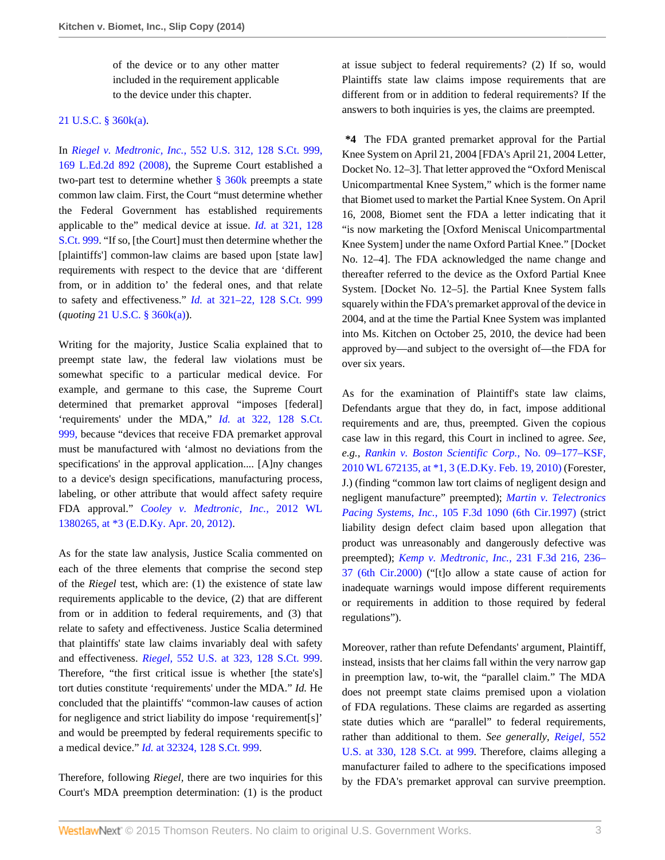of the device or to any other matter included in the requirement applicable to the device under this chapter.

### [21 U.S.C. § 360k\(a\).](http://www.westlaw.com/Link/Document/FullText?findType=L&pubNum=1000546&cite=21USCAS360K&originatingDoc=I87f55cdf9de611e39ac8bab74931929c&refType=RB&originationContext=document&vr=3.0&rs=cblt1.0&transitionType=DocumentItem&contextData=(sc.Search)#co_pp_8b3b0000958a4)

In *Riegel v. Medtronic, Inc.,* [552 U.S. 312, 128 S.Ct. 999,](http://www.westlaw.com/Link/Document/FullText?findType=Y&serNum=2015291136&pubNum=708&originatingDoc=I87f55cdf9de611e39ac8bab74931929c&refType=RP&originationContext=document&vr=3.0&rs=cblt1.0&transitionType=DocumentItem&contextData=(sc.Search)) [169 L.Ed.2d 892 \(2008\),](http://www.westlaw.com/Link/Document/FullText?findType=Y&serNum=2015291136&pubNum=708&originatingDoc=I87f55cdf9de611e39ac8bab74931929c&refType=RP&originationContext=document&vr=3.0&rs=cblt1.0&transitionType=DocumentItem&contextData=(sc.Search)) the Supreme Court established a two-part test to determine whether [§ 360k](http://www.westlaw.com/Link/Document/FullText?findType=L&pubNum=1000546&cite=21USCAS360K&originatingDoc=I87f55cdf9de611e39ac8bab74931929c&refType=LQ&originationContext=document&vr=3.0&rs=cblt1.0&transitionType=DocumentItem&contextData=(sc.Search)) preempts a state common law claim. First, the Court "must determine whether the Federal Government has established requirements applicable to the" medical device at issue. *Id.* [at 321, 128](http://www.westlaw.com/Link/Document/FullText?findType=Y&serNum=2015291136&pubNum=708&originatingDoc=I87f55cdf9de611e39ac8bab74931929c&refType=RP&originationContext=document&vr=3.0&rs=cblt1.0&transitionType=DocumentItem&contextData=(sc.Search)) [S.Ct. 999](http://www.westlaw.com/Link/Document/FullText?findType=Y&serNum=2015291136&pubNum=708&originatingDoc=I87f55cdf9de611e39ac8bab74931929c&refType=RP&originationContext=document&vr=3.0&rs=cblt1.0&transitionType=DocumentItem&contextData=(sc.Search)). "If so, [the Court] must then determine whether the [plaintiffs'] common-law claims are based upon [state law] requirements with respect to the device that are 'different from, or in addition to' the federal ones, and that relate to safety and effectiveness." *Id.* [at 321–22, 128 S.Ct. 999](http://www.westlaw.com/Link/Document/FullText?findType=Y&serNum=2015291136&pubNum=708&originatingDoc=I87f55cdf9de611e39ac8bab74931929c&refType=RP&originationContext=document&vr=3.0&rs=cblt1.0&transitionType=DocumentItem&contextData=(sc.Search)) (*quoting* [21 U.S.C. § 360k\(a\)\)](http://www.westlaw.com/Link/Document/FullText?findType=L&pubNum=1000546&cite=21USCAS360K&originatingDoc=I87f55cdf9de611e39ac8bab74931929c&refType=RB&originationContext=document&vr=3.0&rs=cblt1.0&transitionType=DocumentItem&contextData=(sc.Search)#co_pp_8b3b0000958a4).

Writing for the majority, Justice Scalia explained that to preempt state law, the federal law violations must be somewhat specific to a particular medical device. For example, and germane to this case, the Supreme Court determined that premarket approval "imposes [federal] 'requirements' under the MDA," *Id.* [at 322, 128 S.Ct.](http://www.westlaw.com/Link/Document/FullText?findType=Y&serNum=2015291136&pubNum=708&originatingDoc=I87f55cdf9de611e39ac8bab74931929c&refType=RP&originationContext=document&vr=3.0&rs=cblt1.0&transitionType=DocumentItem&contextData=(sc.Search)) [999,](http://www.westlaw.com/Link/Document/FullText?findType=Y&serNum=2015291136&pubNum=708&originatingDoc=I87f55cdf9de611e39ac8bab74931929c&refType=RP&originationContext=document&vr=3.0&rs=cblt1.0&transitionType=DocumentItem&contextData=(sc.Search)) because "devices that receive FDA premarket approval must be manufactured with 'almost no deviations from the specifications' in the approval application.... [A]ny changes to a device's design specifications, manufacturing process, labeling, or other attribute that would affect safety require FDA approval." *[Cooley v. Medtronic, Inc.,](http://www.westlaw.com/Link/Document/FullText?findType=Y&serNum=2027541504&pubNum=0000999&originatingDoc=I87f55cdf9de611e39ac8bab74931929c&refType=RP&originationContext=document&vr=3.0&rs=cblt1.0&transitionType=DocumentItem&contextData=(sc.Search))* 2012 WL [1380265, at \\*3 \(E.D.Ky. Apr. 20, 2012\).](http://www.westlaw.com/Link/Document/FullText?findType=Y&serNum=2027541504&pubNum=0000999&originatingDoc=I87f55cdf9de611e39ac8bab74931929c&refType=RP&originationContext=document&vr=3.0&rs=cblt1.0&transitionType=DocumentItem&contextData=(sc.Search))

As for the state law analysis, Justice Scalia commented on each of the three elements that comprise the second step of the *Riegel* test, which are: (1) the existence of state law requirements applicable to the device, (2) that are different from or in addition to federal requirements, and (3) that relate to safety and effectiveness. Justice Scalia determined that plaintiffs' state law claims invariably deal with safety and effectiveness. *Riegel,* [552 U.S. at 323, 128 S.Ct. 999](http://www.westlaw.com/Link/Document/FullText?findType=Y&serNum=2015291136&pubNum=708&originatingDoc=I87f55cdf9de611e39ac8bab74931929c&refType=RP&originationContext=document&vr=3.0&rs=cblt1.0&transitionType=DocumentItem&contextData=(sc.Search)). Therefore, "the first critical issue is whether [the state's] tort duties constitute 'requirements' under the MDA." *Id.* He concluded that the plaintiffs' "common-law causes of action for negligence and strict liability do impose 'requirement[s]' and would be preempted by federal requirements specific to a medical device." *Id.* [at 32324, 128 S.Ct. 999.](http://www.westlaw.com/Link/Document/FullText?findType=Y&serNum=2015291136&pubNum=708&originatingDoc=I87f55cdf9de611e39ac8bab74931929c&refType=RP&originationContext=document&vr=3.0&rs=cblt1.0&transitionType=DocumentItem&contextData=(sc.Search))

Therefore, following *Riegel,* there are two inquiries for this Court's MDA preemption determination: (1) is the product at issue subject to federal requirements? (2) If so, would Plaintiffs state law claims impose requirements that are different from or in addition to federal requirements? If the answers to both inquiries is yes, the claims are preempted.

**\*4** The FDA granted premarket approval for the Partial Knee System on April 21, 2004 [FDA's April 21, 2004 Letter, Docket No. 12–3]. That letter approved the "Oxford Meniscal Unicompartmental Knee System," which is the former name that Biomet used to market the Partial Knee System. On April 16, 2008, Biomet sent the FDA a letter indicating that it "is now marketing the [Oxford Meniscal Unicompartmental Knee System] under the name Oxford Partial Knee." [Docket No. 12–4]. The FDA acknowledged the name change and thereafter referred to the device as the Oxford Partial Knee System. [Docket No. 12–5]. the Partial Knee System falls squarely within the FDA's premarket approval of the device in 2004, and at the time the Partial Knee System was implanted into Ms. Kitchen on October 25, 2010, the device had been approved by—and subject to the oversight of—the FDA for over six years.

As for the examination of Plaintiff's state law claims, Defendants argue that they do, in fact, impose additional requirements and are, thus, preempted. Given the copious case law in this regard, this Court in inclined to agree. *See, e.g., [Rankin v. Boston Scientific Corp.,](http://www.westlaw.com/Link/Document/FullText?findType=Y&serNum=2021437997&pubNum=0000999&originatingDoc=I87f55cdf9de611e39ac8bab74931929c&refType=RP&originationContext=document&vr=3.0&rs=cblt1.0&transitionType=DocumentItem&contextData=(sc.Search))* No. 09–177–KSF, [2010 WL 672135, at \\*1, 3 \(E.D.Ky. Feb. 19, 2010\)](http://www.westlaw.com/Link/Document/FullText?findType=Y&serNum=2021437997&pubNum=0000999&originatingDoc=I87f55cdf9de611e39ac8bab74931929c&refType=RP&originationContext=document&vr=3.0&rs=cblt1.0&transitionType=DocumentItem&contextData=(sc.Search)) (Forester, J.) (finding "common law tort claims of negligent design and negligent manufacture" preempted); *[Martin v. Telectronics](http://www.westlaw.com/Link/Document/FullText?findType=Y&serNum=1997042833&pubNum=506&originatingDoc=I87f55cdf9de611e39ac8bab74931929c&refType=RP&originationContext=document&vr=3.0&rs=cblt1.0&transitionType=DocumentItem&contextData=(sc.Search)) Pacing Systems, Inc.,* [105 F.3d 1090 \(6th Cir.1997\)](http://www.westlaw.com/Link/Document/FullText?findType=Y&serNum=1997042833&pubNum=506&originatingDoc=I87f55cdf9de611e39ac8bab74931929c&refType=RP&originationContext=document&vr=3.0&rs=cblt1.0&transitionType=DocumentItem&contextData=(sc.Search)) (strict liability design defect claim based upon allegation that product was unreasonably and dangerously defective was preempted); *[Kemp v. Medtronic, Inc.,](http://www.westlaw.com/Link/Document/FullText?findType=Y&serNum=2000595932&pubNum=506&originatingDoc=I87f55cdf9de611e39ac8bab74931929c&refType=RP&fi=co_pp_sp_506_236&originationContext=document&vr=3.0&rs=cblt1.0&transitionType=DocumentItem&contextData=(sc.Search)#co_pp_sp_506_236)* 231 F.3d 216, 236– [37 \(6th Cir.2000\)](http://www.westlaw.com/Link/Document/FullText?findType=Y&serNum=2000595932&pubNum=506&originatingDoc=I87f55cdf9de611e39ac8bab74931929c&refType=RP&fi=co_pp_sp_506_236&originationContext=document&vr=3.0&rs=cblt1.0&transitionType=DocumentItem&contextData=(sc.Search)#co_pp_sp_506_236) ("[t]o allow a state cause of action for inadequate warnings would impose different requirements or requirements in addition to those required by federal regulations").

Moreover, rather than refute Defendants' argument, Plaintiff, instead, insists that her claims fall within the very narrow gap in preemption law, to-wit, the "parallel claim." The MDA does not preempt state claims premised upon a violation of FDA regulations. These claims are regarded as asserting state duties which are "parallel" to federal requirements, rather than additional to them. *See generally, [Reigel,](http://www.westlaw.com/Link/Document/FullText?findType=Y&serNum=2015291136&pubNum=708&originatingDoc=I87f55cdf9de611e39ac8bab74931929c&refType=RP&fi=co_pp_sp_708_999&originationContext=document&vr=3.0&rs=cblt1.0&transitionType=DocumentItem&contextData=(sc.Search)#co_pp_sp_708_999)* 552 [U.S. at 330, 128 S.Ct. at 999](http://www.westlaw.com/Link/Document/FullText?findType=Y&serNum=2015291136&pubNum=708&originatingDoc=I87f55cdf9de611e39ac8bab74931929c&refType=RP&fi=co_pp_sp_708_999&originationContext=document&vr=3.0&rs=cblt1.0&transitionType=DocumentItem&contextData=(sc.Search)#co_pp_sp_708_999). Therefore, claims alleging a manufacturer failed to adhere to the specifications imposed by the FDA's premarket approval can survive preemption.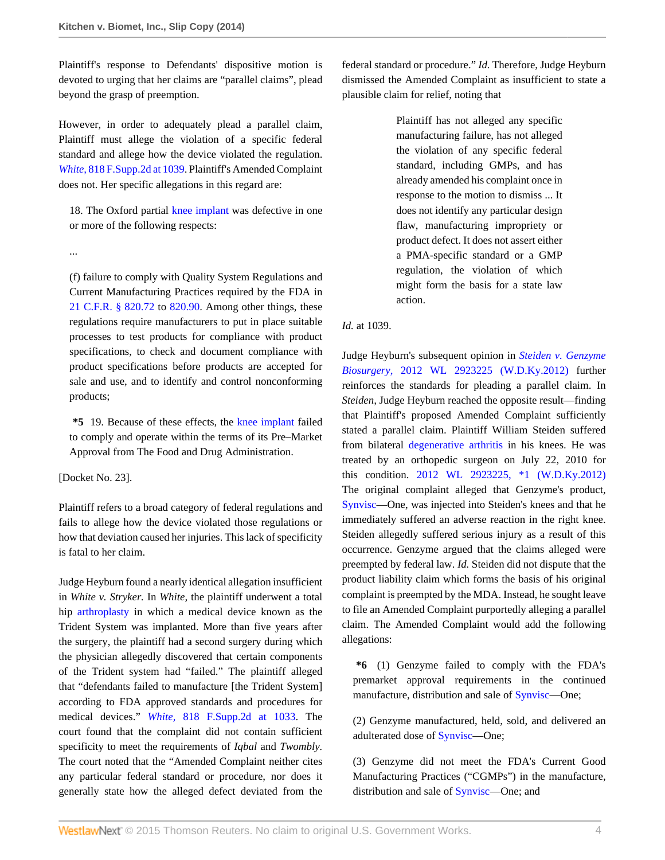Plaintiff's response to Defendants' dispositive motion is devoted to urging that her claims are "parallel claims", plead beyond the grasp of preemption.

However, in order to adequately plead a parallel claim, Plaintiff must allege the violation of a specific federal standard and allege how the device violated the regulation. *White,* [818 F.Supp.2d at 1039.](http://www.westlaw.com/Link/Document/FullText?findType=Y&serNum=2024887083&pubNum=4637&originatingDoc=I87f55cdf9de611e39ac8bab74931929c&refType=RP&fi=co_pp_sp_4637_1039&originationContext=document&vr=3.0&rs=cblt1.0&transitionType=DocumentItem&contextData=(sc.Search)#co_pp_sp_4637_1039) Plaintiff's Amended Complaint does not. Her specific allegations in this regard are:

18. The Oxford partial [knee implant](http://www.westlaw.com/Link/Document/FullText?entityType=mdev&entityId=I9f346e84475411db9765f9243f53508a&originationContext=document&transitionType=DocumentItem&contextData=(sc.Default)&vr=3.0&rs=cblt1.0) was defective in one or more of the following respects:

...

(f) failure to comply with Quality System Regulations and Current Manufacturing Practices required by the FDA in [21 C.F.R. § 820.72](http://www.westlaw.com/Link/Document/FullText?findType=L&pubNum=1000547&cite=21CFRS820.72&originatingDoc=I87f55cdf9de611e39ac8bab74931929c&refType=LQ&originationContext=document&vr=3.0&rs=cblt1.0&transitionType=DocumentItem&contextData=(sc.Search)) to [820.90.](http://www.westlaw.com/Link/Document/FullText?findType=L&pubNum=1000547&cite=21CFRS820.90&originatingDoc=I87f55cdf9de611e39ac8bab74931929c&refType=LQ&originationContext=document&vr=3.0&rs=cblt1.0&transitionType=DocumentItem&contextData=(sc.Search)) Among other things, these regulations require manufacturers to put in place suitable processes to test products for compliance with product specifications, to check and document compliance with product specifications before products are accepted for sale and use, and to identify and control nonconforming products;

**\*5** 19. Because of these effects, the [knee implant](http://www.westlaw.com/Link/Document/FullText?entityType=mdev&entityId=I9f346e84475411db9765f9243f53508a&originationContext=document&transitionType=DocumentItem&contextData=(sc.Default)&vr=3.0&rs=cblt1.0) failed to comply and operate within the terms of its Pre–Market Approval from The Food and Drug Administration.

[Docket No. 23].

Plaintiff refers to a broad category of federal regulations and fails to allege how the device violated those regulations or how that deviation caused her injuries. This lack of specificity is fatal to her claim.

Judge Heyburn found a nearly identical allegation insufficient in *White v. Stryker.* In *White,* the plaintiff underwent a total hip [arthroplasty](http://www.westlaw.com/Link/Document/FullText?entityType=mproc&entityId=Ica14d73b475411db9765f9243f53508a&originationContext=document&transitionType=DocumentItem&contextData=(sc.Default)&vr=3.0&rs=cblt1.0) in which a medical device known as the Trident System was implanted. More than five years after the surgery, the plaintiff had a second surgery during which the physician allegedly discovered that certain components of the Trident system had "failed." The plaintiff alleged that "defendants failed to manufacture [the Trident System] according to FDA approved standards and procedures for medical devices." *White,* [818 F.Supp.2d at 1033](http://www.westlaw.com/Link/Document/FullText?findType=Y&serNum=2024887083&pubNum=4637&originatingDoc=I87f55cdf9de611e39ac8bab74931929c&refType=RP&fi=co_pp_sp_4637_1033&originationContext=document&vr=3.0&rs=cblt1.0&transitionType=DocumentItem&contextData=(sc.Search)#co_pp_sp_4637_1033). The court found that the complaint did not contain sufficient specificity to meet the requirements of *Iqbal* and *Twombly.* The court noted that the "Amended Complaint neither cites any particular federal standard or procedure, nor does it generally state how the alleged defect deviated from the

federal standard or procedure." *Id.* Therefore, Judge Heyburn dismissed the Amended Complaint as insufficient to state a plausible claim for relief, noting that

> Plaintiff has not alleged any specific manufacturing failure, has not alleged the violation of any specific federal standard, including GMPs, and has already amended his complaint once in response to the motion to dismiss ... It does not identify any particular design flaw, manufacturing impropriety or product defect. It does not assert either a PMA-specific standard or a GMP regulation, the violation of which might form the basis for a state law action.

### *Id.* at 1039.

Judge Heyburn's subsequent opinion in *[Steiden v. Genzyme](http://www.westlaw.com/Link/Document/FullText?findType=Y&serNum=2028232827&pubNum=0000999&originatingDoc=I87f55cdf9de611e39ac8bab74931929c&refType=RP&originationContext=document&vr=3.0&rs=cblt1.0&transitionType=DocumentItem&contextData=(sc.Search)) Biosurgery,* [2012 WL 2923225 \(W.D.Ky.2012\)](http://www.westlaw.com/Link/Document/FullText?findType=Y&serNum=2028232827&pubNum=0000999&originatingDoc=I87f55cdf9de611e39ac8bab74931929c&refType=RP&originationContext=document&vr=3.0&rs=cblt1.0&transitionType=DocumentItem&contextData=(sc.Search)) further reinforces the standards for pleading a parallel claim. In *Steiden,* Judge Heyburn reached the opposite result—finding that Plaintiff's proposed Amended Complaint sufficiently stated a parallel claim. Plaintiff William Steiden suffered from bilateral [degenerative arthritis](http://www.westlaw.com/Link/Document/FullText?entityType=disease&entityId=Ibf43d470475411db9765f9243f53508a&originationContext=document&transitionType=DocumentItem&contextData=(sc.Default)&vr=3.0&rs=cblt1.0) in his knees. He was treated by an orthopedic surgeon on July 22, 2010 for this condition. [2012 WL 2923225, \\*1 \(W.D.Ky.2012\)](http://www.westlaw.com/Link/Document/FullText?findType=Y&serNum=2028232827&pubNum=0000999&originatingDoc=I87f55cdf9de611e39ac8bab74931929c&refType=RP&originationContext=document&vr=3.0&rs=cblt1.0&transitionType=DocumentItem&contextData=(sc.Search)) The original complaint alleged that Genzyme's product, [Synvisc—](http://www.westlaw.com/Link/Document/FullText?entityType=bdrug&entityId=I3907ff9b475111db9765f9243f53508a&originationContext=document&transitionType=DocumentItem&contextData=(sc.Default)&vr=3.0&rs=cblt1.0)One, was injected into Steiden's knees and that he immediately suffered an adverse reaction in the right knee. Steiden allegedly suffered serious injury as a result of this occurrence. Genzyme argued that the claims alleged were preempted by federal law. *Id.* Steiden did not dispute that the product liability claim which forms the basis of his original complaint is preempted by the MDA. Instead, he sought leave to file an Amended Complaint purportedly alleging a parallel claim. The Amended Complaint would add the following allegations:

**\*6** (1) Genzyme failed to comply with the FDA's premarket approval requirements in the continued manufacture, distribution and sale of [Synvisc](http://www.westlaw.com/Link/Document/FullText?entityType=bdrug&entityId=I3907ff9b475111db9765f9243f53508a&originationContext=document&transitionType=DocumentItem&contextData=(sc.Default)&vr=3.0&rs=cblt1.0)—One;

(2) Genzyme manufactured, held, sold, and delivered an adulterated dose of [Synvisc](http://www.westlaw.com/Link/Document/FullText?entityType=bdrug&entityId=I3907ff9b475111db9765f9243f53508a&originationContext=document&transitionType=DocumentItem&contextData=(sc.Default)&vr=3.0&rs=cblt1.0)—One;

(3) Genzyme did not meet the FDA's Current Good Manufacturing Practices ("CGMPs") in the manufacture, distribution and sale of [Synvisc](http://www.westlaw.com/Link/Document/FullText?entityType=bdrug&entityId=I3907ff9b475111db9765f9243f53508a&originationContext=document&transitionType=DocumentItem&contextData=(sc.Default)&vr=3.0&rs=cblt1.0)—One; and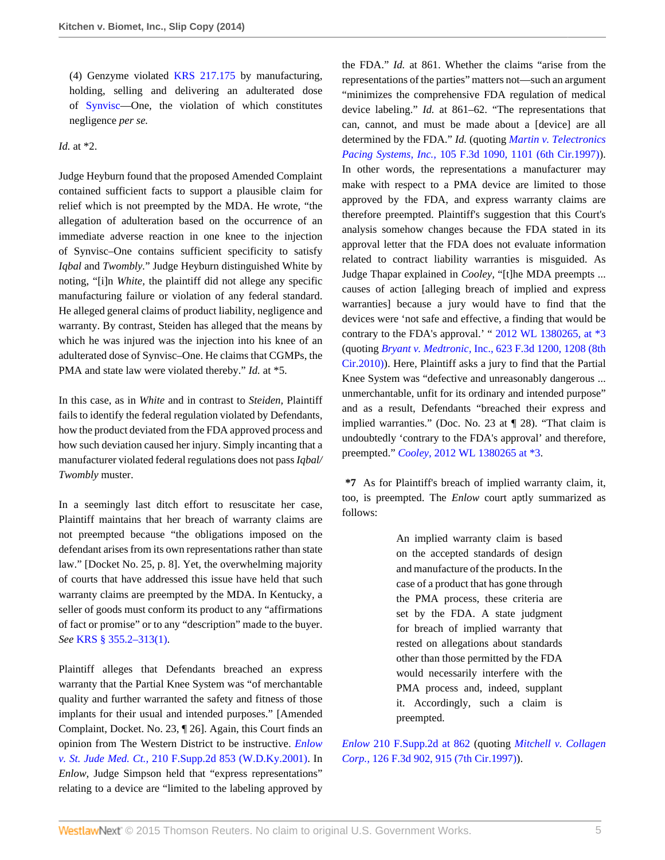(4) Genzyme violated [KRS 217.175](http://www.westlaw.com/Link/Document/FullText?findType=L&pubNum=1000010&cite=KYSTS217.175&originatingDoc=I87f55cdf9de611e39ac8bab74931929c&refType=LQ&originationContext=document&vr=3.0&rs=cblt1.0&transitionType=DocumentItem&contextData=(sc.Search)) by manufacturing, holding, selling and delivering an adulterated dose of [Synvisc—](http://www.westlaw.com/Link/Document/FullText?entityType=bdrug&entityId=I3907ff9b475111db9765f9243f53508a&originationContext=document&transitionType=DocumentItem&contextData=(sc.Default)&vr=3.0&rs=cblt1.0)One, the violation of which constitutes negligence *per se.*

*Id.* at \*2.

Judge Heyburn found that the proposed Amended Complaint contained sufficient facts to support a plausible claim for relief which is not preempted by the MDA. He wrote, "the allegation of adulteration based on the occurrence of an immediate adverse reaction in one knee to the injection of Synvisc–One contains sufficient specificity to satisfy *Iqbal* and *Twombly.*" Judge Heyburn distinguished White by noting, "[i]n *White,* the plaintiff did not allege any specific manufacturing failure or violation of any federal standard. He alleged general claims of product liability, negligence and warranty. By contrast, Steiden has alleged that the means by which he was injured was the injection into his knee of an adulterated dose of Synvisc–One. He claims that CGMPs, the PMA and state law were violated thereby." *Id.* at \*5.

In this case, as in *White* and in contrast to *Steiden,* Plaintiff fails to identify the federal regulation violated by Defendants, how the product deviated from the FDA approved process and how such deviation caused her injury. Simply incanting that a manufacturer violated federal regulations does not pass *Iqbal/ Twombly* muster.

In a seemingly last ditch effort to resuscitate her case, Plaintiff maintains that her breach of warranty claims are not preempted because "the obligations imposed on the defendant arises from its own representations rather than state law." [Docket No. 25, p. 8]. Yet, the overwhelming majority of courts that have addressed this issue have held that such warranty claims are preempted by the MDA. In Kentucky, a seller of goods must conform its product to any "affirmations of fact or promise" or to any "description" made to the buyer. *See* [KRS § 355.2–313\(1\).](http://www.westlaw.com/Link/Document/FullText?findType=L&pubNum=1000010&cite=KYSTS355.2-313&originatingDoc=I87f55cdf9de611e39ac8bab74931929c&refType=SP&originationContext=document&vr=3.0&rs=cblt1.0&transitionType=DocumentItem&contextData=(sc.Search)#co_pp_f1c50000821b0)

Plaintiff alleges that Defendants breached an express warranty that the Partial Knee System was "of merchantable quality and further warranted the safety and fitness of those implants for their usual and intended purposes." [Amended Complaint, Docket. No. 23, ¶ 26]. Again, this Court finds an opinion from The Western District to be instructive. *[Enlow](http://www.westlaw.com/Link/Document/FullText?findType=Y&serNum=2002434309&pubNum=4637&originatingDoc=I87f55cdf9de611e39ac8bab74931929c&refType=RP&originationContext=document&vr=3.0&rs=cblt1.0&transitionType=DocumentItem&contextData=(sc.Search)) v. St. Jude Med. Ct.,* [210 F.Supp.2d 853 \(W.D.Ky.2001\)](http://www.westlaw.com/Link/Document/FullText?findType=Y&serNum=2002434309&pubNum=4637&originatingDoc=I87f55cdf9de611e39ac8bab74931929c&refType=RP&originationContext=document&vr=3.0&rs=cblt1.0&transitionType=DocumentItem&contextData=(sc.Search)). In *Enlow,* Judge Simpson held that "express representations" relating to a device are "limited to the labeling approved by

the FDA." *Id.* at 861. Whether the claims "arise from the representations of the parties" matters not—such an argument "minimizes the comprehensive FDA regulation of medical device labeling." *Id.* at 861–62. "The representations that can, cannot, and must be made about a [device] are all determined by the FDA." *Id.* (quoting *[Martin v. Telectronics](http://www.westlaw.com/Link/Document/FullText?findType=Y&serNum=1997042833&pubNum=506&originatingDoc=I87f55cdf9de611e39ac8bab74931929c&refType=RP&fi=co_pp_sp_506_1101&originationContext=document&vr=3.0&rs=cblt1.0&transitionType=DocumentItem&contextData=(sc.Search)#co_pp_sp_506_1101) Pacing Systems, Inc.,* [105 F.3d 1090, 1101 \(6th Cir.1997\)](http://www.westlaw.com/Link/Document/FullText?findType=Y&serNum=1997042833&pubNum=506&originatingDoc=I87f55cdf9de611e39ac8bab74931929c&refType=RP&fi=co_pp_sp_506_1101&originationContext=document&vr=3.0&rs=cblt1.0&transitionType=DocumentItem&contextData=(sc.Search)#co_pp_sp_506_1101)). In other words, the representations a manufacturer may make with respect to a PMA device are limited to those approved by the FDA, and express warranty claims are therefore preempted. Plaintiff's suggestion that this Court's analysis somehow changes because the FDA stated in its approval letter that the FDA does not evaluate information related to contract liability warranties is misguided. As Judge Thapar explained in *Cooley,* "[t]he MDA preempts ... causes of action [alleging breach of implied and express warranties] because a jury would have to find that the devices were 'not safe and effective, a finding that would be contrary to the FDA's approval.' " [2012 WL 1380265, at \\*3](http://www.westlaw.com/Link/Document/FullText?findType=Y&serNum=2027541504&pubNum=0000999&originatingDoc=I87f55cdf9de611e39ac8bab74931929c&refType=RP&originationContext=document&vr=3.0&rs=cblt1.0&transitionType=DocumentItem&contextData=(sc.Search)) (quoting *Bryant v. Medtronic,* [Inc., 623 F.3d 1200, 1208 \(8th](http://www.westlaw.com/Link/Document/FullText?findType=Y&serNum=2023363260&pubNum=506&originatingDoc=I87f55cdf9de611e39ac8bab74931929c&refType=RP&fi=co_pp_sp_506_1208&originationContext=document&vr=3.0&rs=cblt1.0&transitionType=DocumentItem&contextData=(sc.Search)#co_pp_sp_506_1208) [Cir.2010\)\)](http://www.westlaw.com/Link/Document/FullText?findType=Y&serNum=2023363260&pubNum=506&originatingDoc=I87f55cdf9de611e39ac8bab74931929c&refType=RP&fi=co_pp_sp_506_1208&originationContext=document&vr=3.0&rs=cblt1.0&transitionType=DocumentItem&contextData=(sc.Search)#co_pp_sp_506_1208). Here, Plaintiff asks a jury to find that the Partial Knee System was "defective and unreasonably dangerous ... unmerchantable, unfit for its ordinary and intended purpose" and as a result, Defendants "breached their express and implied warranties." (Doc. No. 23 at ¶ 28). "That claim is undoubtedly 'contrary to the FDA's approval' and therefore, preempted." *Cooley,* [2012 WL 1380265 at \\*3.](http://www.westlaw.com/Link/Document/FullText?findType=Y&serNum=2027541504&pubNum=0000999&originatingDoc=I87f55cdf9de611e39ac8bab74931929c&refType=RP&originationContext=document&vr=3.0&rs=cblt1.0&transitionType=DocumentItem&contextData=(sc.Search))

**\*7** As for Plaintiff's breach of implied warranty claim, it, too, is preempted. The *Enlow* court aptly summarized as follows:

> An implied warranty claim is based on the accepted standards of design and manufacture of the products. In the case of a product that has gone through the PMA process, these criteria are set by the FDA. A state judgment for breach of implied warranty that rested on allegations about standards other than those permitted by the FDA would necessarily interfere with the PMA process and, indeed, supplant it. Accordingly, such a claim is preempted.

*Enlow* [210 F.Supp.2d at 862](http://www.westlaw.com/Link/Document/FullText?findType=Y&serNum=2002434309&pubNum=4637&originatingDoc=I87f55cdf9de611e39ac8bab74931929c&refType=RP&fi=co_pp_sp_4637_862&originationContext=document&vr=3.0&rs=cblt1.0&transitionType=DocumentItem&contextData=(sc.Search)#co_pp_sp_4637_862) (quoting *[Mitchell v. Collagen](http://www.westlaw.com/Link/Document/FullText?findType=Y&serNum=1997194510&pubNum=506&originatingDoc=I87f55cdf9de611e39ac8bab74931929c&refType=RP&fi=co_pp_sp_506_915&originationContext=document&vr=3.0&rs=cblt1.0&transitionType=DocumentItem&contextData=(sc.Search)#co_pp_sp_506_915) Corp.,* [126 F.3d 902, 915 \(7th Cir.1997\)\)](http://www.westlaw.com/Link/Document/FullText?findType=Y&serNum=1997194510&pubNum=506&originatingDoc=I87f55cdf9de611e39ac8bab74931929c&refType=RP&fi=co_pp_sp_506_915&originationContext=document&vr=3.0&rs=cblt1.0&transitionType=DocumentItem&contextData=(sc.Search)#co_pp_sp_506_915).